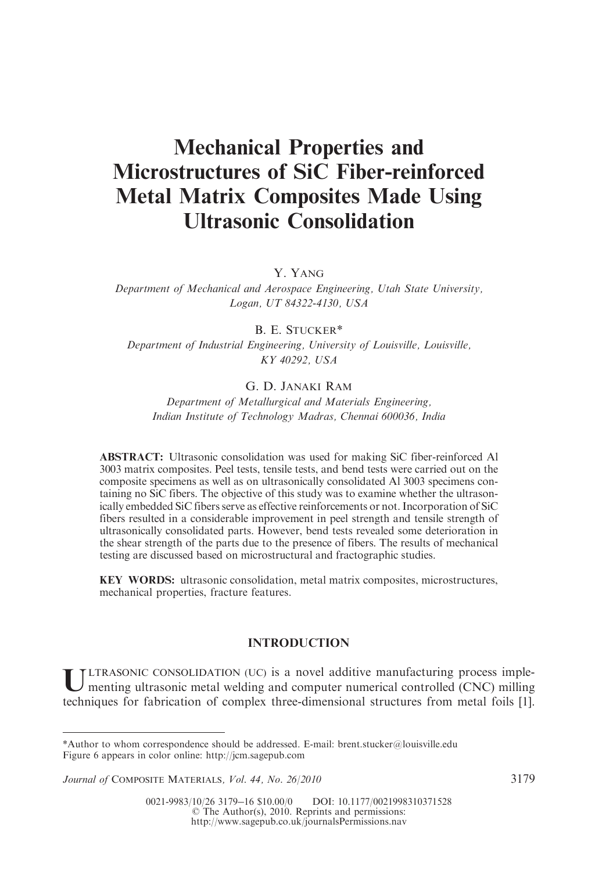# Mechanical Properties and Microstructures of SiC Fiber-reinforced Metal Matrix Composites Made Using Ultrasonic Consolidation

Y. YANG

Department of Mechanical and Aerospace Engineering, Utah State University, Logan, UT 84322-4130, USA

# B. E. STUCKER\*

Department of Industrial Engineering, University of Louisville, Louisville, KY 40292, USA

# G. D. JANAKI RAM

Department of Metallurgical and Materials Engineering, Indian Institute of Technology Madras, Chennai 600036, India

ABSTRACT: Ultrasonic consolidation was used for making SiC fiber-reinforced Al 3003 matrix composites. Peel tests, tensile tests, and bend tests were carried out on the composite specimens as well as on ultrasonically consolidated Al 3003 specimens containing no SiC fibers. The objective of this study was to examine whether the ultrasonically embedded SiC fibers serve as effective reinforcements or not. Incorporation of SiC fibers resulted in a considerable improvement in peel strength and tensile strength of ultrasonically consolidated parts. However, bend tests revealed some deterioration in the shear strength of the parts due to the presence of fibers. The results of mechanical testing are discussed based on microstructural and fractographic studies.

KEY WORDS: ultrasonic consolidation, metal matrix composites, microstructures, mechanical properties, fracture features.

# INTRODUCTION

U LTRASONIC CONSOLIDATION (UC) is a novel additive manufacturing process implementing ultrasonic metal welding and computer numerical controlled (CNC) milling techniques for fabrication of complex three-dimensional structures from metal foils [1].

<sup>\*</sup>Author to whom correspondence should be addressed. E-mail: brent.stucker@louisville.edu Figure 6 appears in color online: http://jcm.sagepub.com

Journal of COMPOSITE MATERIALS, Vol. 44, No. 26/2010 3179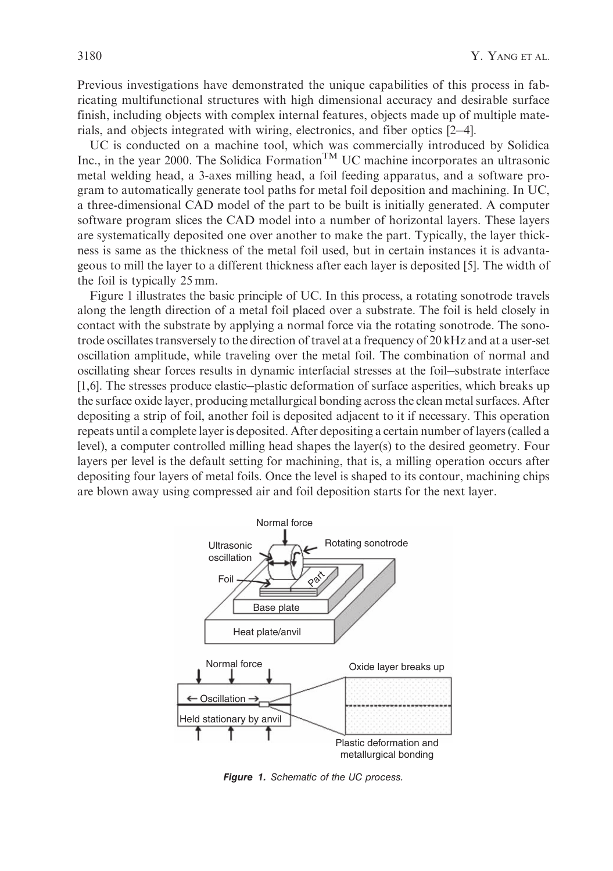Previous investigations have demonstrated the unique capabilities of this process in fabricating multifunctional structures with high dimensional accuracy and desirable surface finish, including objects with complex internal features, objects made up of multiple materials, and objects integrated with wiring, electronics, and fiber optics [2-4].

UC is conducted on a machine tool, which was commercially introduced by Solidica Inc., in the year 2000. The Solidica Formation<sup>TM</sup> UC machine incorporates an ultrasonic metal welding head, a 3-axes milling head, a foil feeding apparatus, and a software program to automatically generate tool paths for metal foil deposition and machining. In UC, a three-dimensional CAD model of the part to be built is initially generated. A computer software program slices the CAD model into a number of horizontal layers. These layers are systematically deposited one over another to make the part. Typically, the layer thickness is same as the thickness of the metal foil used, but in certain instances it is advantageous to mill the layer to a different thickness after each layer is deposited [5]. The width of the foil is typically 25 mm.

Figure 1 illustrates the basic principle of UC. In this process, a rotating sonotrode travels along the length direction of a metal foil placed over a substrate. The foil is held closely in contact with the substrate by applying a normal force via the rotating sonotrode. The sonotrode oscillates transversely to the direction of travel at a frequency of 20 kHz and at a user-set oscillation amplitude, while traveling over the metal foil. The combination of normal and oscillating shear forces results in dynamic interfacial stresses at the foil-substrate interface [1,6]. The stresses produce elastic-plastic deformation of surface asperities, which breaks up the surface oxide layer, producing metallurgical bonding across the clean metal surfaces. After depositing a strip of foil, another foil is deposited adjacent to it if necessary. This operation repeats until a complete layer is deposited. After depositing a certain number of layers (called a level), a computer controlled milling head shapes the layer(s) to the desired geometry. Four layers per level is the default setting for machining, that is, a milling operation occurs after depositing four layers of metal foils. Once the level is shaped to its contour, machining chips are blown away using compressed air and foil deposition starts for the next layer.



Figure 1. *Schematic of the UC process.*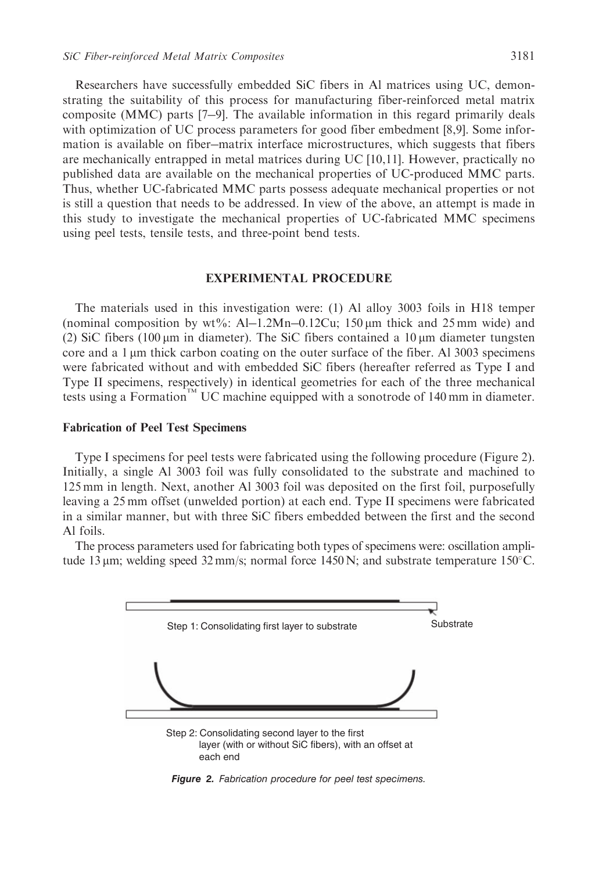Researchers have successfully embedded SiC fibers in Al matrices using UC, demon-

strating the suitability of this process for manufacturing fiber-reinforced metal matrix composite (MMC) parts [7-9]. The available information in this regard primarily deals with optimization of UC process parameters for good fiber embedment [8,9]. Some information is available on fiber-matrix interface microstructures, which suggests that fibers are mechanically entrapped in metal matrices during UC [10,11]. However, practically no published data are available on the mechanical properties of UC-produced MMC parts. Thus, whether UC-fabricated MMC parts possess adequate mechanical properties or not is still a question that needs to be addressed. In view of the above, an attempt is made in this study to investigate the mechanical properties of UC-fabricated MMC specimens using peel tests, tensile tests, and three-point bend tests.

#### EXPERIMENTAL PROCEDURE

The materials used in this investigation were: (1) Al alloy 3003 foils in H18 temper (nominal composition by wt%: Al-1.2Mn-0.12Cu; 150  $\mu$ m thick and 25 mm wide) and (2) SiC fibers (100  $\mu$ m in diameter). The SiC fibers contained a 10  $\mu$ m diameter tungsten core and a 1  $\mu$ m thick carbon coating on the outer surface of the fiber. Al 3003 specimens were fabricated without and with embedded SiC fibers (hereafter referred as Type I and Type II specimens, respectively) in identical geometries for each of the three mechanical tests using a Formation<sup>1M</sup> UC machine equipped with a sonotrode of 140 mm in diameter.

# Fabrication of Peel Test Specimens

Type I specimens for peel tests were fabricated using the following procedure (Figure 2). Initially, a single Al 3003 foil was fully consolidated to the substrate and machined to 125 mm in length. Next, another Al 3003 foil was deposited on the first foil, purposefully leaving a 25 mm offset (unwelded portion) at each end. Type II specimens were fabricated in a similar manner, but with three SiC fibers embedded between the first and the second Al foils.

The process parameters used for fabricating both types of specimens were: oscillation amplitude 13  $\mu$ m; welding speed 32 mm/s; normal force 1450 N; and substrate temperature 150°C.



Figure 2. *Fabrication procedure for peel test specimens.*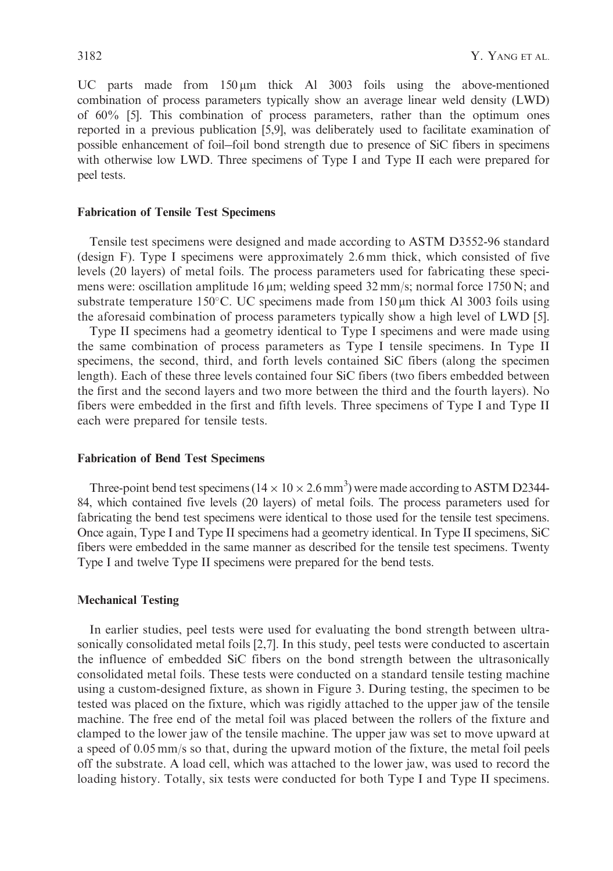UC parts made from  $150 \mu m$  thick Al 3003 foils using the above-mentioned combination of process parameters typically show an average linear weld density (LWD) of 60% [5]. This combination of process parameters, rather than the optimum ones reported in a previous publication [5,9], was deliberately used to facilitate examination of possible enhancement of foil-foil bond strength due to presence of SiC fibers in specimens with otherwise low LWD. Three specimens of Type I and Type II each were prepared for peel tests.

# Fabrication of Tensile Test Specimens

Tensile test specimens were designed and made according to ASTM D3552-96 standard (design F). Type I specimens were approximately 2.6 mm thick, which consisted of five levels (20 layers) of metal foils. The process parameters used for fabricating these specimens were: oscillation amplitude 16  $\mu$ m; welding speed 32 mm/s; normal force 1750 N; and substrate temperature 150°C. UC specimens made from 150  $\mu$ m thick Al 3003 foils using the aforesaid combination of process parameters typically show a high level of LWD [5].

Type II specimens had a geometry identical to Type I specimens and were made using the same combination of process parameters as Type I tensile specimens. In Type II specimens, the second, third, and forth levels contained SiC fibers (along the specimen length). Each of these three levels contained four SiC fibers (two fibers embedded between the first and the second layers and two more between the third and the fourth layers). No fibers were embedded in the first and fifth levels. Three specimens of Type I and Type II each were prepared for tensile tests.

#### Fabrication of Bend Test Specimens

Three-point bend test specimens ( $14 \times 10 \times 2.6$  mm<sup>3</sup>) were made according to ASTM D2344-84, which contained five levels (20 layers) of metal foils. The process parameters used for fabricating the bend test specimens were identical to those used for the tensile test specimens. Once again, Type I and Type II specimens had a geometry identical. In Type II specimens, SiC fibers were embedded in the same manner as described for the tensile test specimens. Twenty Type I and twelve Type II specimens were prepared for the bend tests.

# Mechanical Testing

In earlier studies, peel tests were used for evaluating the bond strength between ultrasonically consolidated metal foils [2,7]. In this study, peel tests were conducted to ascertain the influence of embedded SiC fibers on the bond strength between the ultrasonically consolidated metal foils. These tests were conducted on a standard tensile testing machine using a custom-designed fixture, as shown in Figure 3. During testing, the specimen to be tested was placed on the fixture, which was rigidly attached to the upper jaw of the tensile machine. The free end of the metal foil was placed between the rollers of the fixture and clamped to the lower jaw of the tensile machine. The upper jaw was set to move upward at a speed of 0.05 mm/s so that, during the upward motion of the fixture, the metal foil peels off the substrate. A load cell, which was attached to the lower jaw, was used to record the loading history. Totally, six tests were conducted for both Type I and Type II specimens.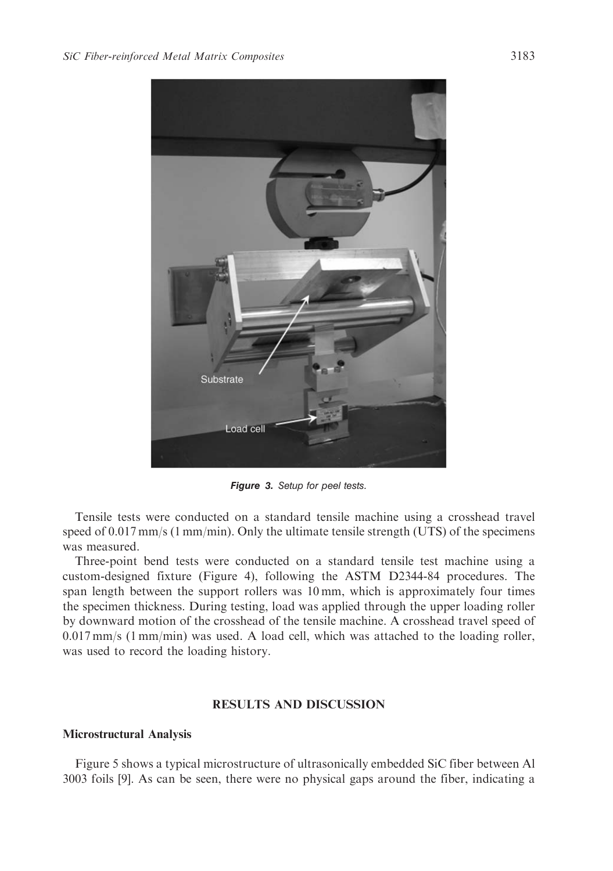

Figure 3. *Setup for peel tests.*

Tensile tests were conducted on a standard tensile machine using a crosshead travel speed of 0.017 mm/s (1 mm/min). Only the ultimate tensile strength (UTS) of the specimens was measured.

Three-point bend tests were conducted on a standard tensile test machine using a custom-designed fixture (Figure 4), following the ASTM D2344-84 procedures. The span length between the support rollers was 10 mm, which is approximately four times the specimen thickness. During testing, load was applied through the upper loading roller by downward motion of the crosshead of the tensile machine. A crosshead travel speed of 0.017 mm/s (1 mm/min) was used. A load cell, which was attached to the loading roller, was used to record the loading history.

# RESULTS AND DISCUSSION

# Microstructural Analysis

Figure 5 shows a typical microstructure of ultrasonically embedded SiC fiber between Al 3003 foils [9]. As can be seen, there were no physical gaps around the fiber, indicating a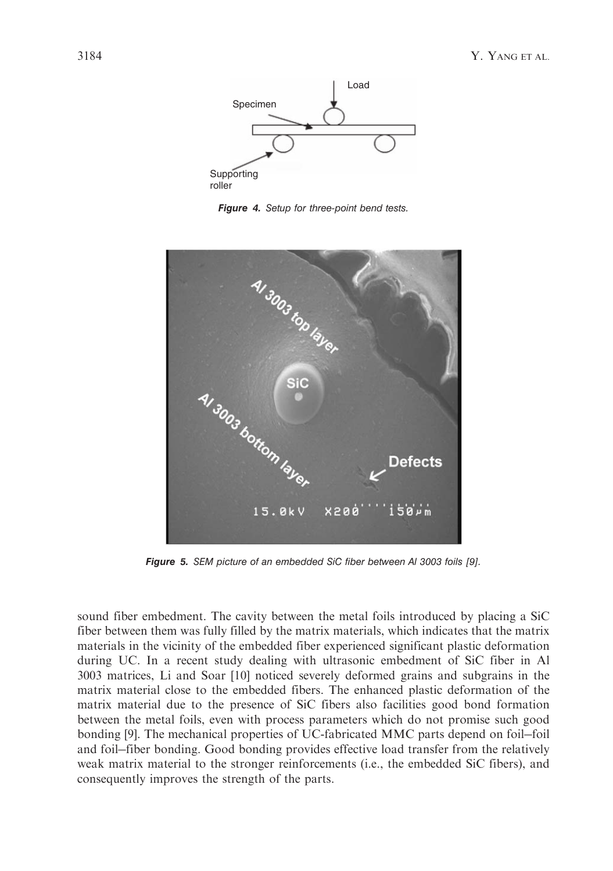

Figure 4. *Setup for three-point bend tests.*



Figure 5. *SEM picture of an embedded SiC fiber between Al 3003 foils [9].*

sound fiber embedment. The cavity between the metal foils introduced by placing a SiC fiber between them was fully filled by the matrix materials, which indicates that the matrix materials in the vicinity of the embedded fiber experienced significant plastic deformation during UC. In a recent study dealing with ultrasonic embedment of SiC fiber in Al 3003 matrices, Li and Soar [10] noticed severely deformed grains and subgrains in the matrix material close to the embedded fibers. The enhanced plastic deformation of the matrix material due to the presence of SiC fibers also facilities good bond formation between the metal foils, even with process parameters which do not promise such good bonding [9]. The mechanical properties of UC-fabricated MMC parts depend on foil-foil and foil-fiber bonding. Good bonding provides effective load transfer from the relatively weak matrix material to the stronger reinforcements (i.e., the embedded SiC fibers), and consequently improves the strength of the parts.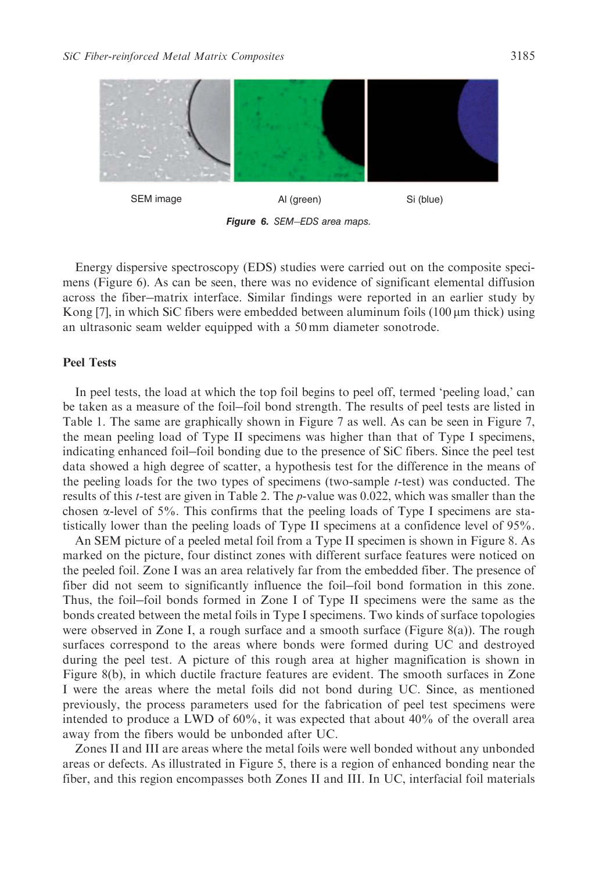

Figure 6. *SEM*-*EDS area maps.*

Energy dispersive spectroscopy (EDS) studies were carried out on the composite specimens (Figure 6). As can be seen, there was no evidence of significant elemental diffusion across the fiber-matrix interface. Similar findings were reported in an earlier study by Kong  $[7]$ , in which SiC fibers were embedded between aluminum foils  $(100 \mu m)$  thick) using an ultrasonic seam welder equipped with a 50 mm diameter sonotrode.

#### Peel Tests

In peel tests, the load at which the top foil begins to peel off, termed 'peeling load,' can be taken as a measure of the foil-foil bond strength. The results of peel tests are listed in Table 1. The same are graphically shown in Figure 7 as well. As can be seen in Figure 7, the mean peeling load of Type II specimens was higher than that of Type I specimens, indicating enhanced foil-foil bonding due to the presence of SiC fibers. Since the peel test data showed a high degree of scatter, a hypothesis test for the difference in the means of the peeling loads for the two types of specimens (two-sample  $t$ -test) was conducted. The results of this t-test are given in Table 2. The p-value was 0.022, which was smaller than the chosen  $\alpha$ -level of 5%. This confirms that the peeling loads of Type I specimens are statistically lower than the peeling loads of Type II specimens at a confidence level of 95%.

An SEM picture of a peeled metal foil from a Type II specimen is shown in Figure 8. As marked on the picture, four distinct zones with different surface features were noticed on the peeled foil. Zone I was an area relatively far from the embedded fiber. The presence of fiber did not seem to significantly influence the foil-foil bond formation in this zone. Thus, the foil-foil bonds formed in Zone I of Type II specimens were the same as the bonds created between the metal foils in Type I specimens. Two kinds of surface topologies were observed in Zone I, a rough surface and a smooth surface (Figure 8(a)). The rough surfaces correspond to the areas where bonds were formed during UC and destroyed during the peel test. A picture of this rough area at higher magnification is shown in Figure 8(b), in which ductile fracture features are evident. The smooth surfaces in Zone I were the areas where the metal foils did not bond during UC. Since, as mentioned previously, the process parameters used for the fabrication of peel test specimens were intended to produce a LWD of 60%, it was expected that about 40% of the overall area away from the fibers would be unbonded after UC.

Zones II and III are areas where the metal foils were well bonded without any unbonded areas or defects. As illustrated in Figure 5, there is a region of enhanced bonding near the fiber, and this region encompasses both Zones II and III. In UC, interfacial foil materials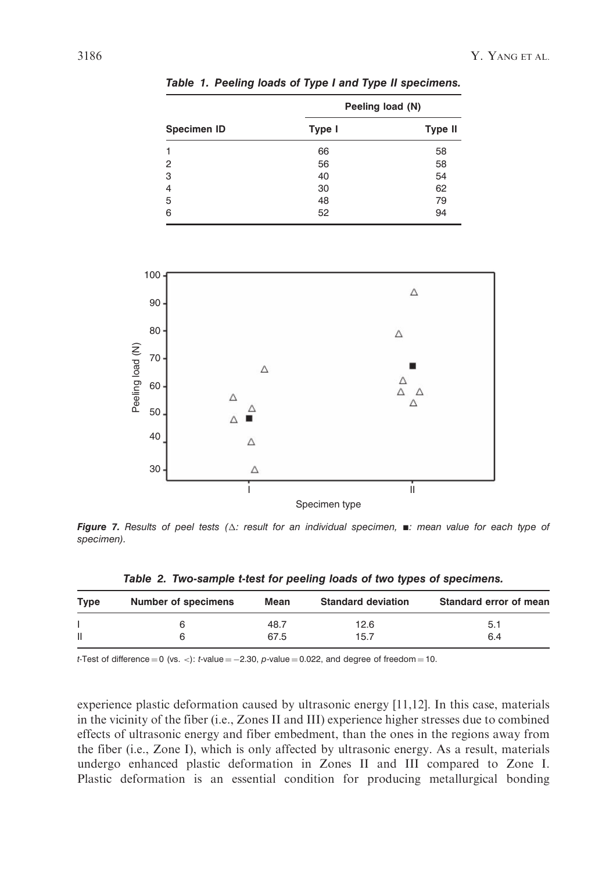| <b>Specimen ID</b> | Peeling load (N) |                |  |
|--------------------|------------------|----------------|--|
|                    | Type I           | <b>Type II</b> |  |
|                    | 66               | 58             |  |
| 2                  | 56               | 58             |  |
| 3                  | 40               | 54             |  |
| 4                  | 30               | 62             |  |
| 5                  | 48               | 79             |  |
| 6                  | 52               | 94             |  |

Table 1. Peeling loads of Type I and Type II specimens.



Figure 7. Results of peel tests ( $\Delta$ : result for an individual specimen,  $\blacksquare$ : mean value for each type of *specimen).*

Table 2. Two-sample t-test for peeling loads of two types of specimens.

| <b>Type</b>  | Number of specimens | Mean | <b>Standard deviation</b> | Standard error of mean |
|--------------|---------------------|------|---------------------------|------------------------|
|              |                     | 48.7 | 12.6                      | 5.1                    |
| $\mathbf{I}$ |                     | 67.5 | 15.7                      | 6.4                    |

*t*-Test of difference  $= 0$  (vs.  $\langle \cdot \rangle$ : *t*-value  $= -2.30$ , *p*-value  $= 0.022$ , and degree of freedom  $= 10$ .

experience plastic deformation caused by ultrasonic energy [11,12]. In this case, materials in the vicinity of the fiber (i.e., Zones II and III) experience higher stresses due to combined effects of ultrasonic energy and fiber embedment, than the ones in the regions away from the fiber (i.e., Zone I), which is only affected by ultrasonic energy. As a result, materials undergo enhanced plastic deformation in Zones II and III compared to Zone I. Plastic deformation is an essential condition for producing metallurgical bonding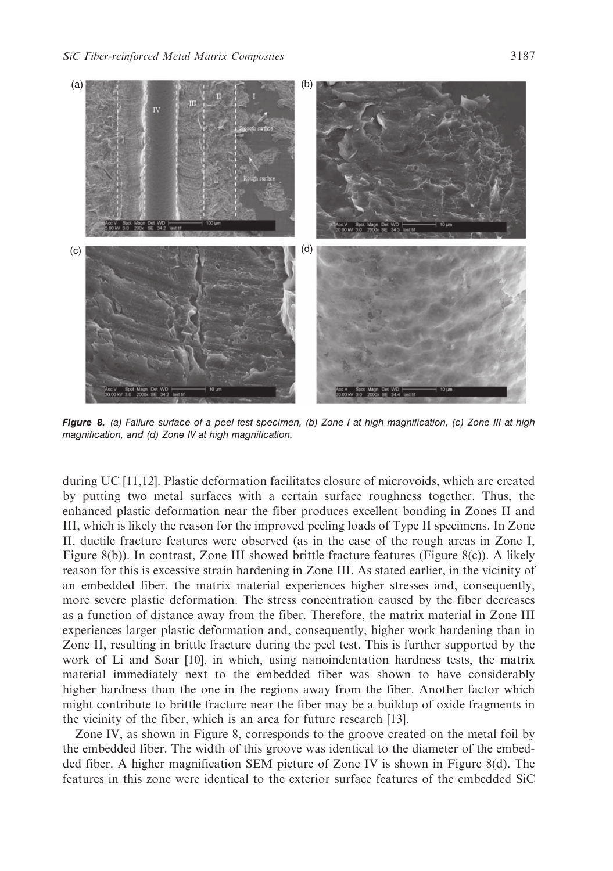

Figure 8. *(a) Failure surface of a peel test specimen, (b) Zone I at high magnification, (c) Zone III at high magnification, and (d) Zone IV at high magnification.*

during UC [11,12]. Plastic deformation facilitates closure of microvoids, which are created by putting two metal surfaces with a certain surface roughness together. Thus, the enhanced plastic deformation near the fiber produces excellent bonding in Zones II and III, which is likely the reason for the improved peeling loads of Type II specimens. In Zone II, ductile fracture features were observed (as in the case of the rough areas in Zone I, Figure 8(b)). In contrast, Zone III showed brittle fracture features (Figure 8(c)). A likely reason for this is excessive strain hardening in Zone III. As stated earlier, in the vicinity of an embedded fiber, the matrix material experiences higher stresses and, consequently, more severe plastic deformation. The stress concentration caused by the fiber decreases as a function of distance away from the fiber. Therefore, the matrix material in Zone III experiences larger plastic deformation and, consequently, higher work hardening than in Zone II, resulting in brittle fracture during the peel test. This is further supported by the work of Li and Soar [10], in which, using nanoindentation hardness tests, the matrix material immediately next to the embedded fiber was shown to have considerably higher hardness than the one in the regions away from the fiber. Another factor which might contribute to brittle fracture near the fiber may be a buildup of oxide fragments in the vicinity of the fiber, which is an area for future research [13].

Zone IV, as shown in Figure 8, corresponds to the groove created on the metal foil by the embedded fiber. The width of this groove was identical to the diameter of the embedded fiber. A higher magnification SEM picture of Zone IV is shown in Figure 8(d). The features in this zone were identical to the exterior surface features of the embedded SiC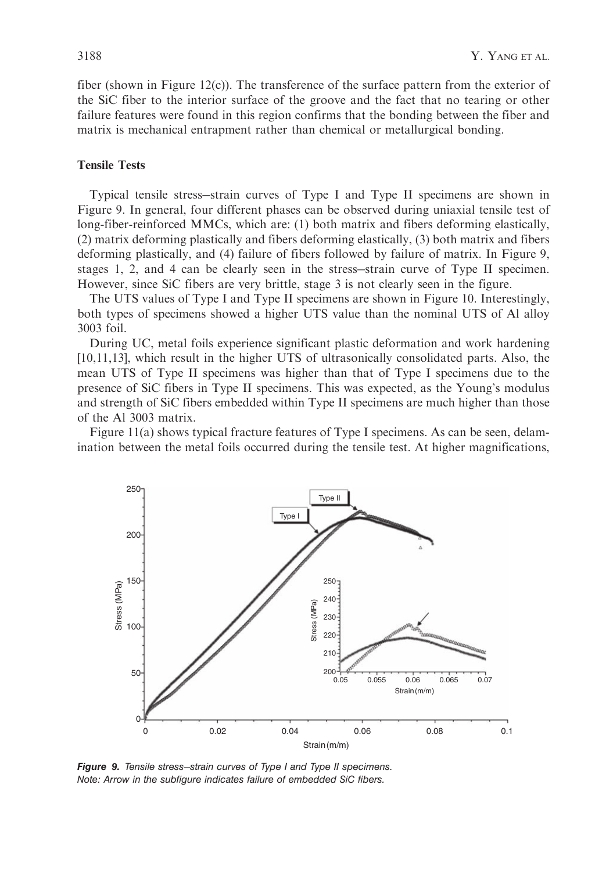fiber (shown in Figure 12(c)). The transference of the surface pattern from the exterior of the SiC fiber to the interior surface of the groove and the fact that no tearing or other failure features were found in this region confirms that the bonding between the fiber and matrix is mechanical entrapment rather than chemical or metallurgical bonding.

#### Tensile Tests

Typical tensile stress-strain curves of Type I and Type II specimens are shown in Figure 9. In general, four different phases can be observed during uniaxial tensile test of long-fiber-reinforced MMCs, which are: (1) both matrix and fibers deforming elastically, (2) matrix deforming plastically and fibers deforming elastically, (3) both matrix and fibers deforming plastically, and (4) failure of fibers followed by failure of matrix. In Figure 9, stages 1, 2, and 4 can be clearly seen in the stress-strain curve of Type II specimen. However, since SiC fibers are very brittle, stage 3 is not clearly seen in the figure.

The UTS values of Type I and Type II specimens are shown in Figure 10. Interestingly, both types of specimens showed a higher UTS value than the nominal UTS of Al alloy 3003 foil.

During UC, metal foils experience significant plastic deformation and work hardening [10,11,13], which result in the higher UTS of ultrasonically consolidated parts. Also, the mean UTS of Type II specimens was higher than that of Type I specimens due to the presence of SiC fibers in Type II specimens. This was expected, as the Young's modulus and strength of SiC fibers embedded within Type II specimens are much higher than those of the Al 3003 matrix.

Figure 11(a) shows typical fracture features of Type I specimens. As can be seen, delamination between the metal foils occurred during the tensile test. At higher magnifications,



Figure 9. *Tensile stress*-*strain curves of Type I and Type II specimens. Note: Arrow in the subfigure indicates failure of embedded SiC fibers.*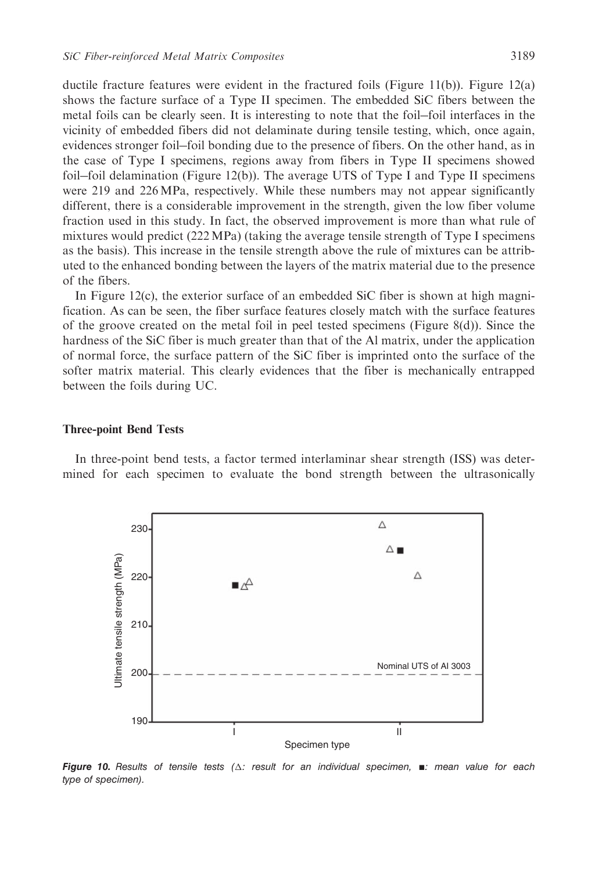ductile fracture features were evident in the fractured foils (Figure 11(b)). Figure 12(a) shows the facture surface of a Type II specimen. The embedded SiC fibers between the metal foils can be clearly seen. It is interesting to note that the foil-foil interfaces in the vicinity of embedded fibers did not delaminate during tensile testing, which, once again, evidences stronger foil-foil bonding due to the presence of fibers. On the other hand, as in the case of Type I specimens, regions away from fibers in Type II specimens showed foil-foil delamination (Figure 12(b)). The average UTS of Type I and Type II specimens were 219 and 226 MPa, respectively. While these numbers may not appear significantly different, there is a considerable improvement in the strength, given the low fiber volume fraction used in this study. In fact, the observed improvement is more than what rule of mixtures would predict (222MPa) (taking the average tensile strength of Type I specimens as the basis). This increase in the tensile strength above the rule of mixtures can be attributed to the enhanced bonding between the layers of the matrix material due to the presence of the fibers.

In Figure  $12(c)$ , the exterior surface of an embedded SiC fiber is shown at high magnification. As can be seen, the fiber surface features closely match with the surface features of the groove created on the metal foil in peel tested specimens (Figure 8(d)). Since the hardness of the SiC fiber is much greater than that of the Al matrix, under the application of normal force, the surface pattern of the SiC fiber is imprinted onto the surface of the softer matrix material. This clearly evidences that the fiber is mechanically entrapped between the foils during UC.

#### Three-point Bend Tests

In three-point bend tests, a factor termed interlaminar shear strength (ISS) was determined for each specimen to evaluate the bond strength between the ultrasonically



Figure 10. Results of tensile tests ( $\Delta$ : result for an individual specimen,  $\blacksquare$ : mean value for each *type of specimen).*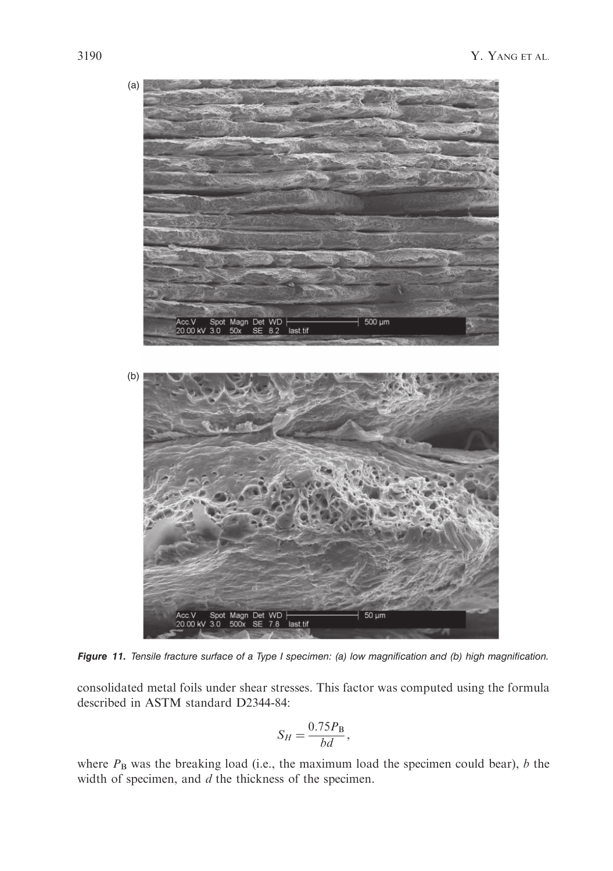

Figure 11. *Tensile fracture surface of a Type I specimen: (a) low magnification and (b) high magnification.*

consolidated metal foils under shear stresses. This factor was computed using the formula described in ASTM standard D2344-84:

$$
S_H = \frac{0.75 P_{\rm B}}{bd},
$$

where  $P_B$  was the breaking load (i.e., the maximum load the specimen could bear), b the width of specimen, and  $d$  the thickness of the specimen.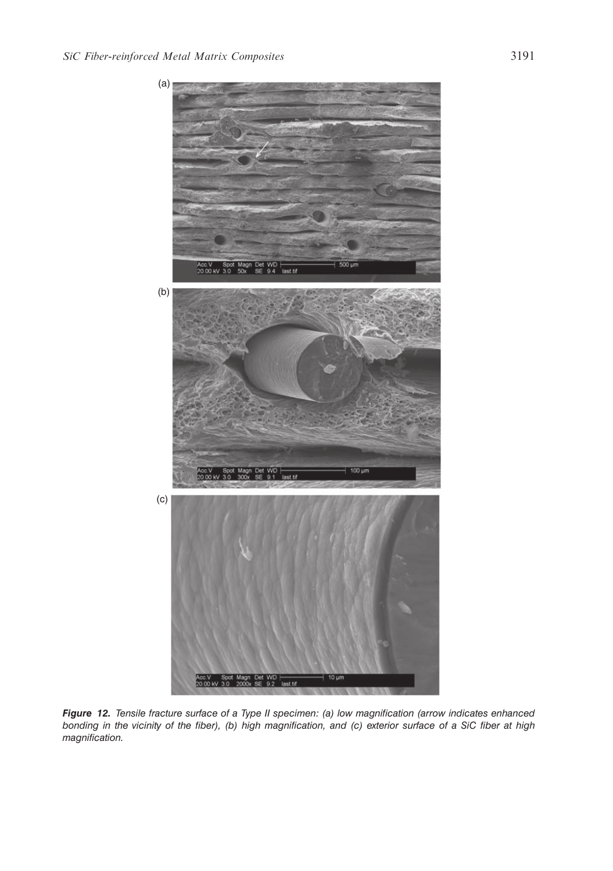

Figure 12. *Tensile fracture surface of a Type II specimen: (a) low magnification (arrow indicates enhanced bonding in the vicinity of the fiber), (b) high magnification, and (c) exterior surface of a SiC fiber at high magnification.*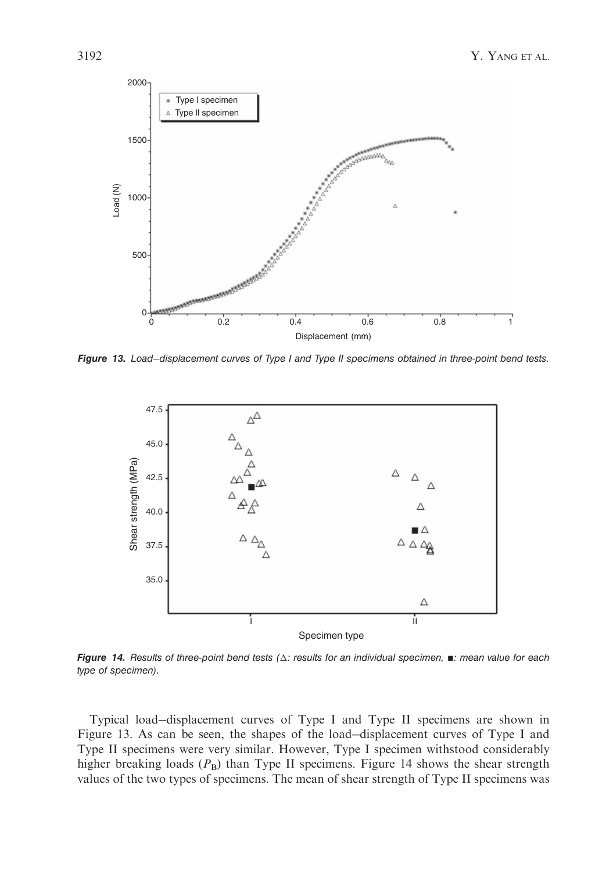

Figure 13. *Load*-*displacement curves of Type I and Type II specimens obtained in three-point bend tests.*



Figure 14. Results of three-point bend tests ( $\triangle$ : results for an individual specimen,  $\blacksquare$ : mean value for each *type of specimen).*

Typical load-displacement curves of Type I and Type II specimens are shown in Figure 13. As can be seen, the shapes of the load-displacement curves of Type I and Type II specimens were very similar. However, Type I specimen withstood considerably higher breaking loads  $(P_B)$  than Type II specimens. Figure 14 shows the shear strength values of the two types of specimens. The mean of shear strength of Type II specimens was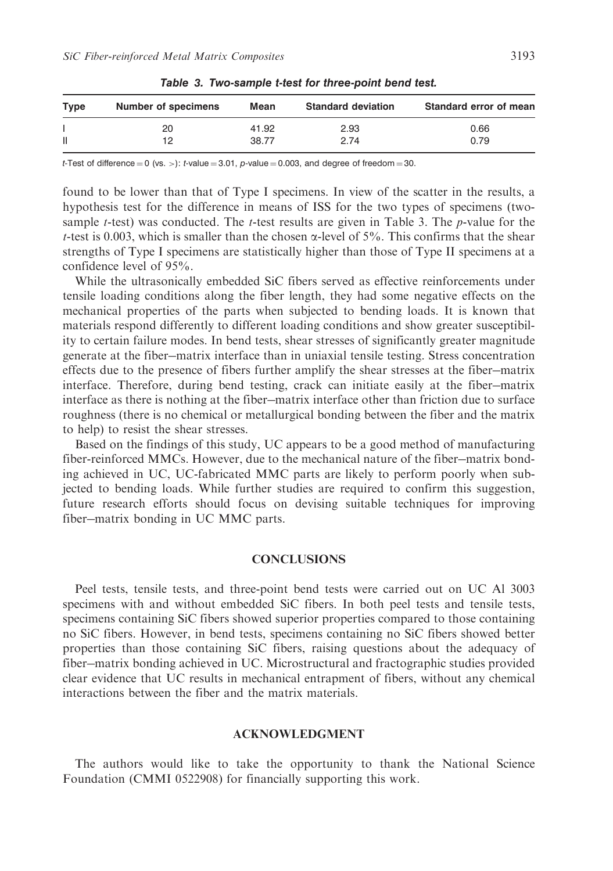| <b>Type</b> | Number of specimens | Mean  | <b>Standard deviation</b> | Standard error of mean |
|-------------|---------------------|-------|---------------------------|------------------------|
|             | 20                  | 41.92 | 2.93                      | 0.66                   |
| Ш           | 12                  | 38.77 | 2.74                      | 0.79                   |

Table 3. Two-sample t-test for three-point bend test.

*t*-Test of difference  $= 0$  (vs. >): *t*-value  $= 3.01$ , *p*-value  $= 0.003$ , and degree of freedom  $= 30$ .

found to be lower than that of Type I specimens. In view of the scatter in the results, a hypothesis test for the difference in means of ISS for the two types of specimens (twosample t-test) was conducted. The t-test results are given in Table 3. The p-value for the t-test is 0.003, which is smaller than the chosen  $\alpha$ -level of 5%. This confirms that the shear strengths of Type I specimens are statistically higher than those of Type II specimens at a confidence level of 95%.

While the ultrasonically embedded SiC fibers served as effective reinforcements under tensile loading conditions along the fiber length, they had some negative effects on the mechanical properties of the parts when subjected to bending loads. It is known that materials respond differently to different loading conditions and show greater susceptibility to certain failure modes. In bend tests, shear stresses of significantly greater magnitude generate at the fiber-matrix interface than in uniaxial tensile testing. Stress concentration effects due to the presence of fibers further amplify the shear stresses at the fiber-matrix interface. Therefore, during bend testing, crack can initiate easily at the fiber-matrix interface as there is nothing at the fiber-matrix interface other than friction due to surface roughness (there is no chemical or metallurgical bonding between the fiber and the matrix to help) to resist the shear stresses.

Based on the findings of this study, UC appears to be a good method of manufacturing fiber-reinforced MMCs. However, due to the mechanical nature of the fiber-matrix bonding achieved in UC, UC-fabricated MMC parts are likely to perform poorly when subjected to bending loads. While further studies are required to confirm this suggestion, future research efforts should focus on devising suitable techniques for improving fiber-matrix bonding in UC MMC parts.

### **CONCLUSIONS**

Peel tests, tensile tests, and three-point bend tests were carried out on UC Al 3003 specimens with and without embedded SiC fibers. In both peel tests and tensile tests, specimens containing SiC fibers showed superior properties compared to those containing no SiC fibers. However, in bend tests, specimens containing no SiC fibers showed better properties than those containing SiC fibers, raising questions about the adequacy of fiber-matrix bonding achieved in UC. Microstructural and fractographic studies provided clear evidence that UC results in mechanical entrapment of fibers, without any chemical interactions between the fiber and the matrix materials.

#### ACKNOWLEDGMENT

The authors would like to take the opportunity to thank the National Science Foundation (CMMI 0522908) for financially supporting this work.